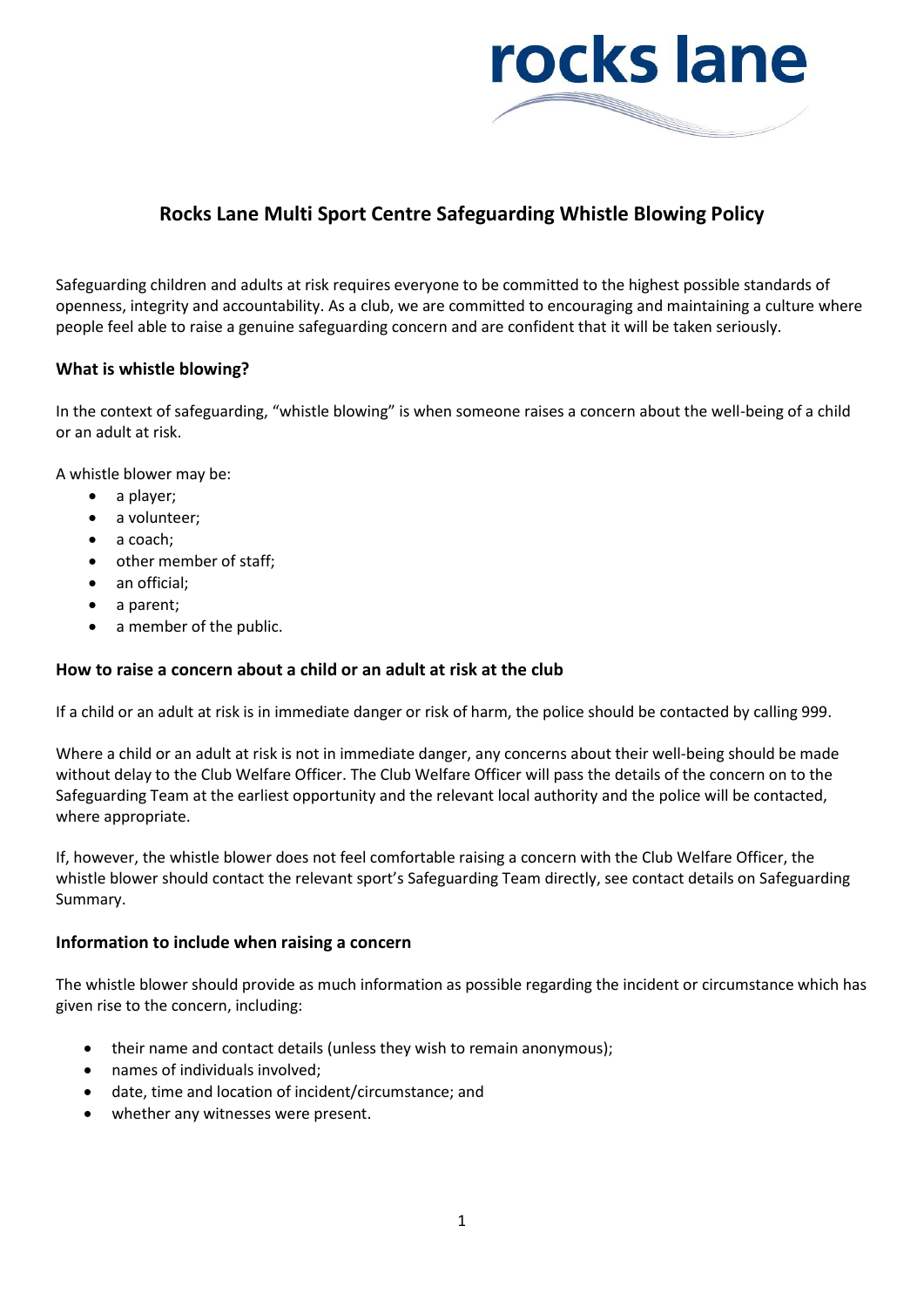

# **Rocks Lane Multi Sport Centre Safeguarding Whistle Blowing Policy**

Safeguarding children and adults at risk requires everyone to be committed to the highest possible standards of openness, integrity and accountability. As a club, we are committed to encouraging and maintaining a culture where people feel able to raise a genuine safeguarding concern and are confident that it will be taken seriously.

# **What is whistle blowing?**

In the context of safeguarding, "whistle blowing" is when someone raises a concern about the well-being of a child or an adult at risk.

A whistle blower may be:

- a player;
- a volunteer;
- a coach;
- other member of staff;
- an official;
- a parent;
- a member of the public.

### **How to raise a concern about a child or an adult at risk at the club**

If a child or an adult at risk is in immediate danger or risk of harm, the police should be contacted by calling 999.

Where a child or an adult at risk is not in immediate danger, any concerns about their well-being should be made without delay to the Club Welfare Officer. The Club Welfare Officer will pass the details of the concern on to the Safeguarding Team at the earliest opportunity and the relevant local authority and the police will be contacted, where appropriate.

If, however, the whistle blower does not feel comfortable raising a concern with the Club Welfare Officer, the whistle blower should contact the relevant sport's Safeguarding Team directly, see contact details on Safeguarding Summary.

### **Information to include when raising a concern**

The whistle blower should provide as much information as possible regarding the incident or circumstance which has given rise to the concern, including:

- their name and contact details (unless they wish to remain anonymous);
- names of individuals involved;
- date, time and location of incident/circumstance; and
- whether any witnesses were present.